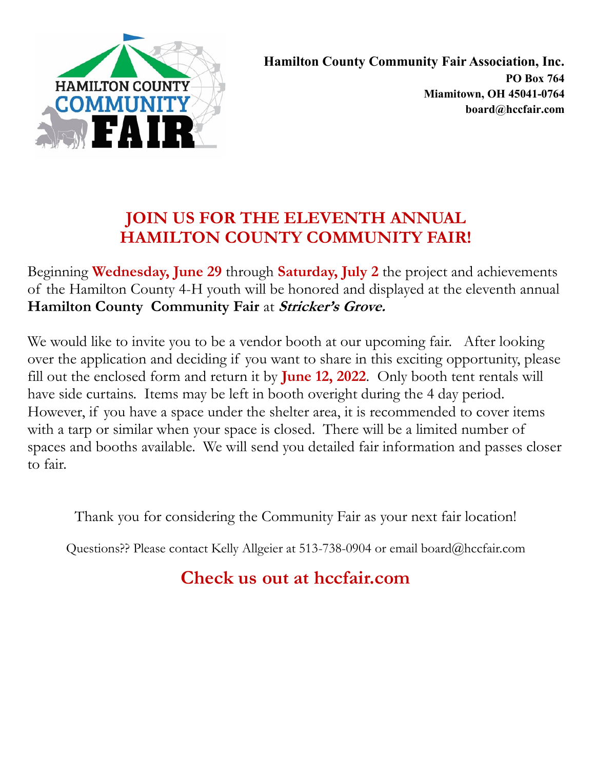

# **JOIN US FOR THE ELEVENTH ANNUAL HAMILTON COUNTY COMMUNITY FAIR!**

Beginning **Wednesday, June 29** through **Saturday, July 2** the project and achievements of the Hamilton County 4-H youth will be honored and displayed at the eleventh annual **Hamilton County Community Fair** at **Stricker's Grove.** 

We would like to invite you to be a vendor booth at our upcoming fair. After looking over the application and deciding if you want to share in this exciting opportunity, please fill out the enclosed form and return it by **June 12, 2022**. Only booth tent rentals will have side curtains. Items may be left in booth overight during the 4 day period. However, if you have a space under the shelter area, it is recommended to cover items with a tarp or similar when your space is closed. There will be a limited number of spaces and booths available. We will send you detailed fair information and passes closer to fair.

Thank you for considering the Community Fair as your next fair location!

Questions?? Please contact Kelly Allgeier at 513-738-0904 or email board@hccfair.com

# **Check us out at hccfair.com**